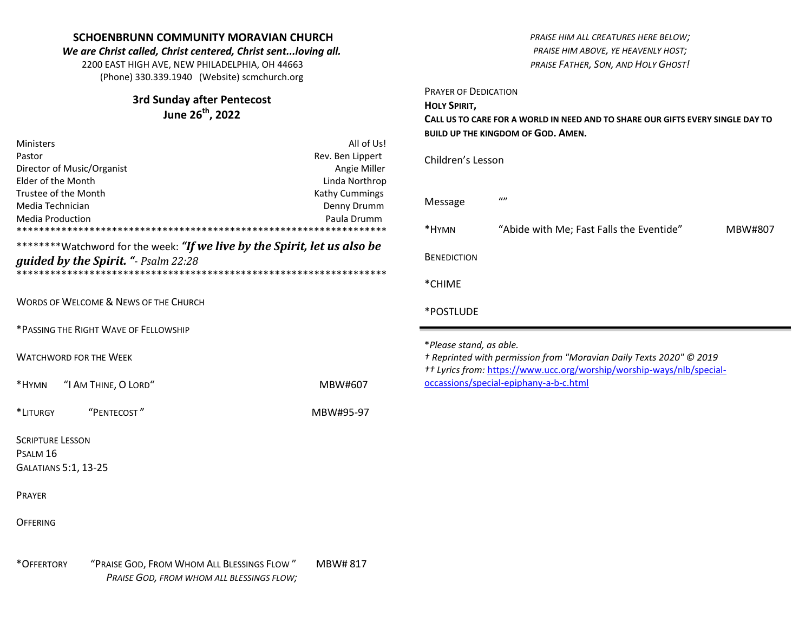## **SCHOENBRUNN COMMUNITY MORAVIAN CHURCH** *We are Christ called, Christ centered, Christ sent...loving all.* 2200 EAST HIGH AVE, NEW PHILADELPHIA, OH 44663 (Phone) 330.339.1940 (Website) scmchurch.org **3rd Sunday after Pentecost June 26th , 2022** Ministers **All of Us!** Pastor **Rev. Ben Lippert** Rev. Ben Lippert Director of Music/Organist **Angie Miller** Angie Miller Elder of the Month Linda Northrop Trustee of the Month Trustee of the Month Kathy Cummings Media Technician **Denny Drumm** Denny Drumm Denny Drumm Media Production Paula Drumm \*\*\*\*\*\*\*\*\*\*\*\*\*\*\*\*\*\*\*\*\*\*\*\*\*\*\*\*\*\*\*\*\*\*\*\*\*\*\*\*\*\*\*\*\*\*\*\*\*\*\*\*\*\*\*\*\*\*\*\*\*\*\*\*\*\* \*\*\*\*\*\*\*\*Watchword for the week: *"If we live by the Spirit, let us also be guided by the Spirit. "- Psalm 22:28* \*\*\*\*\*\*\*\*\*\*\*\*\*\*\*\*\*\*\*\*\*\*\*\*\*\*\*\*\*\*\*\*\*\*\*\*\*\*\*\*\*\*\*\*\*\*\*\*\*\*\*\*\*\*\*\*\*\*\*\*\*\*\*\*\*\* WORDS OF WELCOME & NEWS OF THE CHURCH \*PASSING THE RIGHT WAVE OF FELLOWSHIP WATCHWORD FOR THE WEEK \*HYMN "I AM THINE, O LORD" MBW#607 \*LITURGY "PENTECOST " MBW#95-97 SCRIPTURE LESSON PSALM 16 GALATIANS 5:1, 13-25 PRAYER **OFFERING** *PRAISE HIM ALL CREATURES HERE BELOW; PRAISE HIM ABOVE, YE HEAVENLY HOST; PRAISE FATHER, SON, AND HOLY GHOST!* PRAYER OF DEDICATION **HOLY SPIRIT, CALL US TO CARE FOR A WORLD IN NEED AND TO SHARE OUR GIFTS EVERY SINGLE DAY TO BUILD UP THE KINGDOM OF GOD. AMEN.** Children's Lesson Message "" \*HYMN "Abide with Me; Fast Falls the Eventide" MBW#807 **BENEDICTION** \*CHIME \*POSTLUDE \**Please stand, as able. † Reprinted with permission from "Moravian Daily Texts 2020" © 2019 †† Lyrics from:* [https://www.ucc.org/worship/worship-ways/nlb/special](https://www.ucc.org/worship/worship-ways/nlb/special-occassions/special-epiphany-a-b-c.html)[occassions/special-epiphany-a-b-c.html](https://www.ucc.org/worship/worship-ways/nlb/special-occassions/special-epiphany-a-b-c.html)